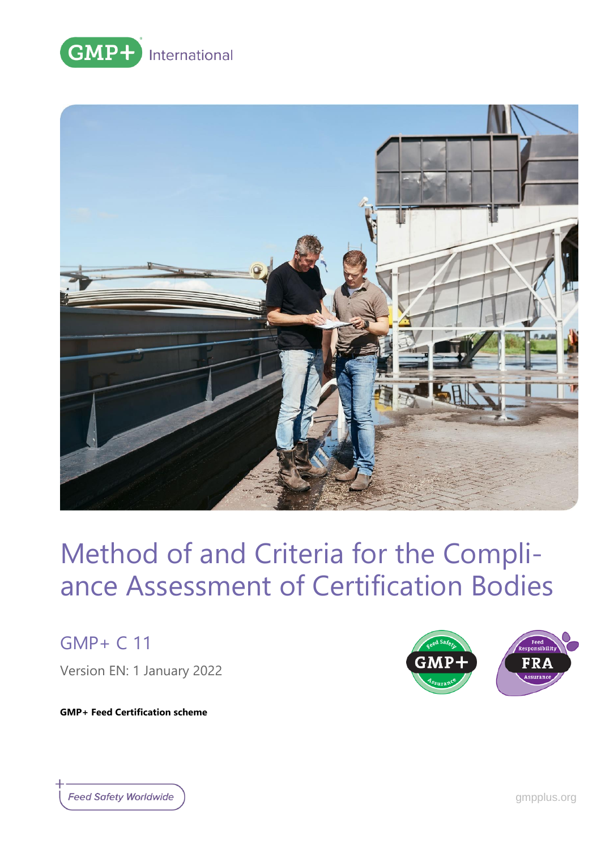



GMP+ C 11

Version EN: 1 January 2022

**GMP+ Feed Certification scheme**



**Feed Safety Worldwide**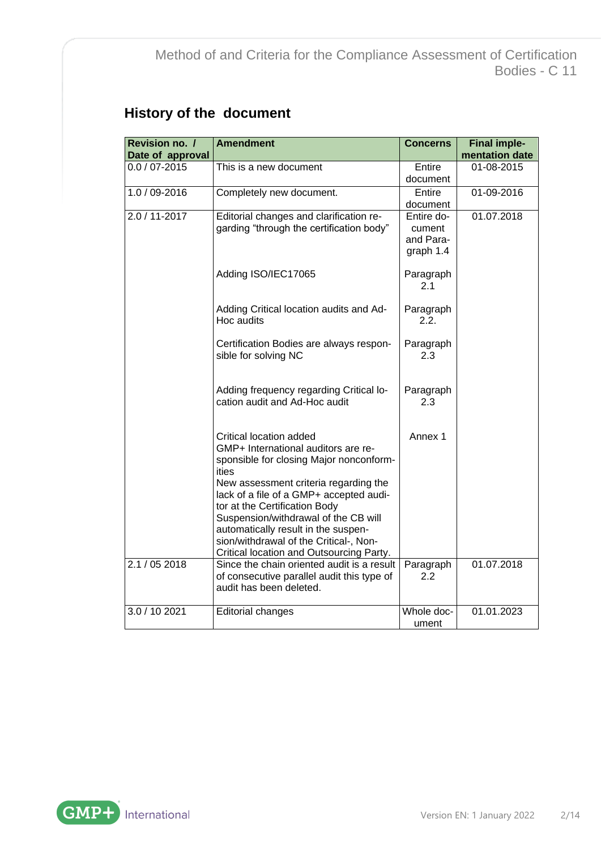# **History of the document**

| Revision no. /    | <b>Amendment</b>                                                                                                                                                                                                                                                                                                                                                                                                                                           | <b>Concerns</b>                                | <b>Final imple-</b> |
|-------------------|------------------------------------------------------------------------------------------------------------------------------------------------------------------------------------------------------------------------------------------------------------------------------------------------------------------------------------------------------------------------------------------------------------------------------------------------------------|------------------------------------------------|---------------------|
| Date of approval  |                                                                                                                                                                                                                                                                                                                                                                                                                                                            |                                                | mentation date      |
| $0.0 / 07 - 2015$ | This is a new document                                                                                                                                                                                                                                                                                                                                                                                                                                     | Entire<br>document                             | 01-08-2015          |
| 1.0 / 09-2016     | Completely new document.                                                                                                                                                                                                                                                                                                                                                                                                                                   | Entire<br>document                             | 01-09-2016          |
| 2.0 / 11-2017     | Editorial changes and clarification re-<br>garding "through the certification body"                                                                                                                                                                                                                                                                                                                                                                        | Entire do-<br>cument<br>and Para-<br>graph 1.4 | 01.07.2018          |
|                   | Adding ISO/IEC17065                                                                                                                                                                                                                                                                                                                                                                                                                                        | Paragraph<br>2.1                               |                     |
|                   | Adding Critical location audits and Ad-<br>Hoc audits                                                                                                                                                                                                                                                                                                                                                                                                      | Paragraph<br>2.2.                              |                     |
|                   | Certification Bodies are always respon-<br>sible for solving NC                                                                                                                                                                                                                                                                                                                                                                                            | Paragraph<br>2.3                               |                     |
|                   | Adding frequency regarding Critical lo-<br>cation audit and Ad-Hoc audit                                                                                                                                                                                                                                                                                                                                                                                   | Paragraph<br>2.3                               |                     |
| 2.1 / 05 2018     | Critical location added<br>GMP+ International auditors are re-<br>sponsible for closing Major nonconform-<br>ities<br>New assessment criteria regarding the<br>lack of a file of a GMP+ accepted audi-<br>tor at the Certification Body<br>Suspension/withdrawal of the CB will<br>automatically result in the suspen-<br>sion/withdrawal of the Critical-, Non-<br>Critical location and Outsourcing Party.<br>Since the chain oriented audit is a result | Annex 1<br>Paragraph                           | 01.07.2018          |
|                   | of consecutive parallel audit this type of<br>audit has been deleted.                                                                                                                                                                                                                                                                                                                                                                                      | 2.2                                            |                     |
| 3.0 / 10 2021     | <b>Editorial changes</b>                                                                                                                                                                                                                                                                                                                                                                                                                                   | Whole doc-<br>ument                            | 01.01.2023          |

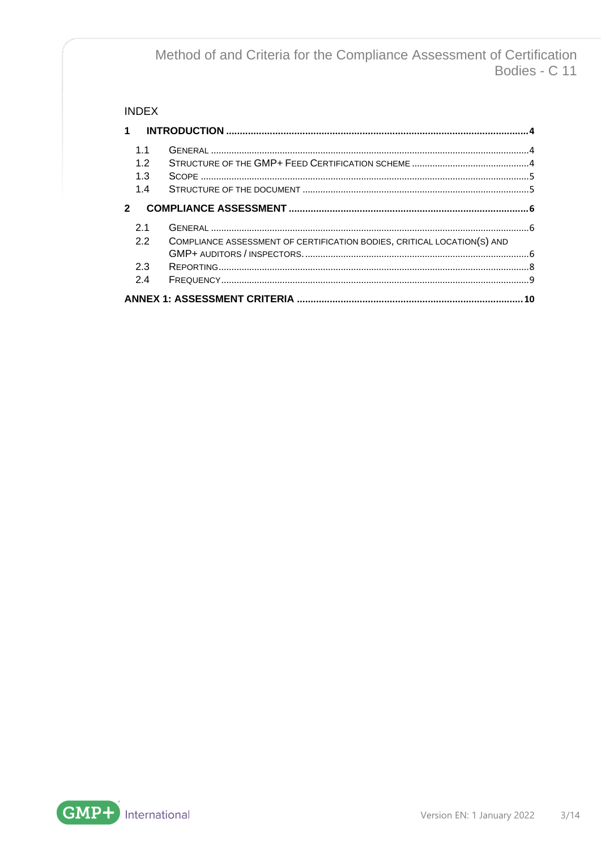### **INDEX**

| $\mathbf 1$                  |                                                                         |    |
|------------------------------|-------------------------------------------------------------------------|----|
| 1 <sub>1</sub><br>1.2<br>1.3 |                                                                         |    |
| 1.4                          |                                                                         |    |
| $\overline{2}$               |                                                                         |    |
| 2.1                          |                                                                         |    |
| 22                           | COMPLIANCE ASSESSMENT OF CERTIFICATION BODIES, CRITICAL LOCATION(S) AND |    |
| 2.3                          |                                                                         |    |
| 2.4                          |                                                                         |    |
|                              |                                                                         | 10 |

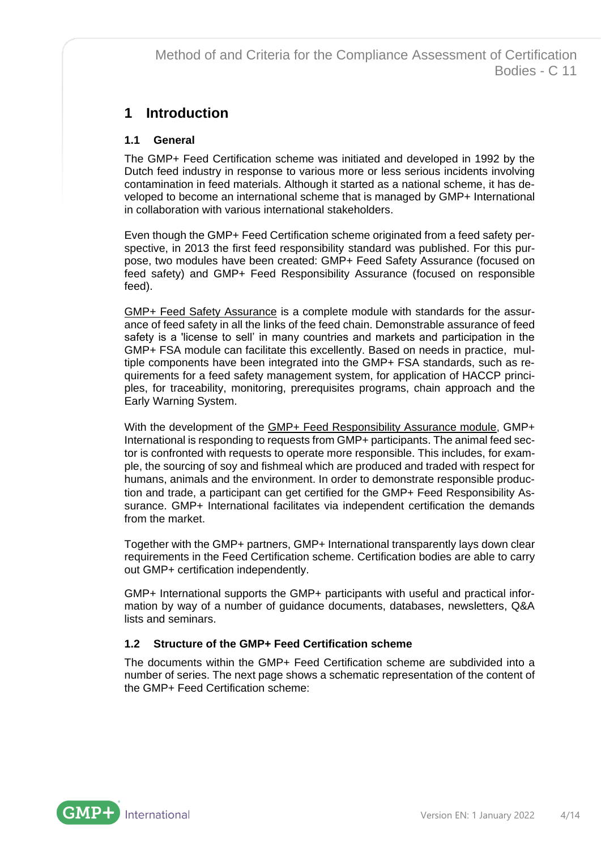## <span id="page-3-0"></span>**1 Introduction**

### <span id="page-3-1"></span>**1.1 General**

The GMP+ Feed Certification scheme was initiated and developed in 1992 by the Dutch feed industry in response to various more or less serious incidents involving contamination in feed materials. Although it started as a national scheme, it has developed to become an international scheme that is managed by GMP+ International in collaboration with various international stakeholders.

Even though the GMP+ Feed Certification scheme originated from a feed safety perspective, in 2013 the first feed responsibility standard was published. For this purpose, two modules have been created: GMP+ Feed Safety Assurance (focused on feed safety) and GMP+ Feed Responsibility Assurance (focused on responsible feed).

GMP+ Feed Safety Assurance is a complete module with standards for the assurance of feed safety in all the links of the feed chain. Demonstrable assurance of feed safety is a 'license to sell' in many countries and markets and participation in the GMP+ FSA module can facilitate this excellently. Based on needs in practice, multiple components have been integrated into the GMP+ FSA standards, such as requirements for a feed safety management system, for application of HACCP principles, for traceability, monitoring, prerequisites programs, chain approach and the Early Warning System.

With the development of the GMP+ Feed Responsibility Assurance module, GMP+ International is responding to requests from GMP+ participants. The animal feed sector is confronted with requests to operate more responsible. This includes, for example, the sourcing of soy and fishmeal which are produced and traded with respect for humans, animals and the environment. In order to demonstrate responsible production and trade, a participant can get certified for the GMP+ Feed Responsibility Assurance. GMP+ International facilitates via independent certification the demands from the market.

Together with the GMP+ partners, GMP+ International transparently lays down clear requirements in the Feed Certification scheme. Certification bodies are able to carry out GMP+ certification independently.

GMP+ International supports the GMP+ participants with useful and practical information by way of a number of guidance documents, databases, newsletters, Q&A lists and seminars.

### <span id="page-3-2"></span>**1.2 Structure of the GMP+ Feed Certification scheme**

The documents within the GMP+ Feed Certification scheme are subdivided into a number of series. The next page shows a schematic representation of the content of the GMP+ Feed Certification scheme:

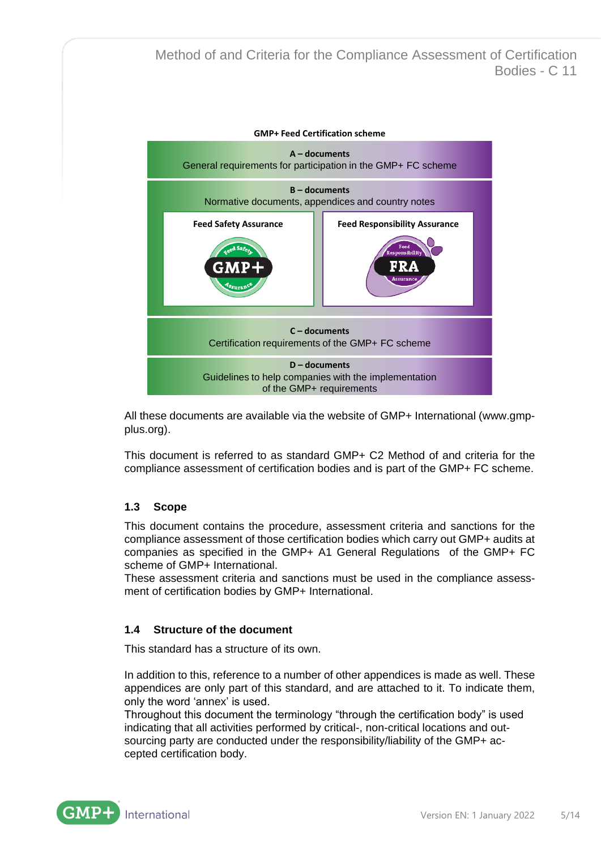

All these documents are available via the website of GMP+ International [\(www.gmp](http://www.gmpplus.org/)[plus.org\)](http://www.gmpplus.org/).

This document is referred to as standard GMP+ C2 Method of and criteria for the compliance assessment of certification bodies and is part of the GMP+ FC scheme.

#### <span id="page-4-0"></span>**1.3 Scope**

This document contains the procedure, assessment criteria and sanctions for the compliance assessment of those certification bodies which carry out GMP+ audits at companies as specified in the GMP+ A1 General Regulations of the GMP+ FC scheme of GMP+ International.

These assessment criteria and sanctions must be used in the compliance assessment of certification bodies by GMP+ International.

#### <span id="page-4-1"></span>**1.4 Structure of the document**

This standard has a structure of its own.

In addition to this, reference to a number of other appendices is made as well. These appendices are only part of this standard, and are attached to it. To indicate them, only the word 'annex' is used.

Throughout this document the terminology "through the certification body" is used indicating that all activities performed by critical-, non-critical locations and outsourcing party are conducted under the responsibility/liability of the GMP+ accepted certification body.

International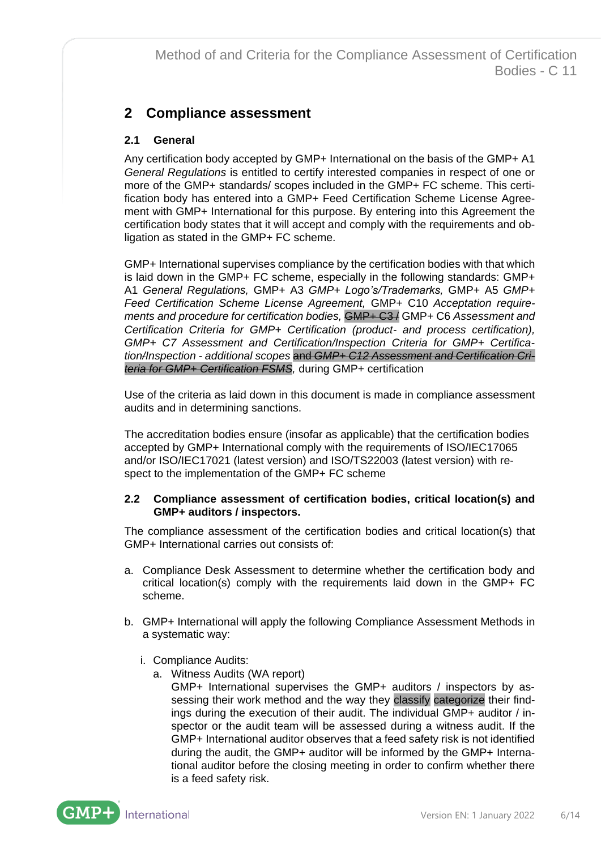## <span id="page-5-0"></span>**2 Compliance assessment**

## <span id="page-5-1"></span>**2.1 General**

Any certification body accepted by GMP+ International on the basis of the GMP+ A1 *General Regulations* is entitled to certify interested companies in respect of one or more of the GMP+ standards/ scopes included in the GMP+ FC scheme. This certification body has entered into a GMP+ Feed Certification Scheme License Agreement with GMP+ International for this purpose. By entering into this Agreement the certification body states that it will accept and comply with the requirements and obligation as stated in the GMP+ FC scheme.

GMP+ International supervises compliance by the certification bodies with that which is laid down in the GMP+ FC scheme, especially in the following standards: GMP+ A1 *General Regulations,* GMP+ A3 *GMP+ Logo's/Trademarks,* GMP+ A5 *GMP+ Feed Certification Scheme License Agreement,* GMP+ C10 *Acceptation requirements and procedure for certification bodies,* GMP+ C3 / GMP+ C6 *Assessment and Certification Criteria for GMP+ Certification (product- and process certification), [GMP+ C7 Assessment and Certification/Inspection Criteria for GMP+ Certifica](http://www.gmpplus.org/lmbinaries/gmp_c7_-_uk_assessment_and_certificationinspection_criteria_for_gmp_certificationinspection_-_additional_scopes_9212.pdf)tion/Inspection - [additional scopes](http://www.gmpplus.org/lmbinaries/gmp_c7_-_uk_assessment_and_certificationinspection_criteria_for_gmp_certificationinspection_-_additional_scopes_9212.pdf)* and *GMP+ C12 Assessment and Certification Criteria for GMP+ Certification FSMS,* during GMP+ certification

Use of the criteria as laid down in this document is made in compliance assessment audits and in determining sanctions.

The accreditation bodies ensure (insofar as applicable) that the certification bodies accepted by GMP+ International comply with the requirements of ISO/IEC17065 and/or ISO/IEC17021 (latest version) and ISO/TS22003 (latest version) with respect to the implementation of the GMP+ FC scheme

#### <span id="page-5-2"></span>**2.2 Compliance assessment of certification bodies, critical location(s) and GMP+ auditors / inspectors.**

The compliance assessment of the certification bodies and critical location(s) that GMP+ International carries out consists of:

- a. Compliance Desk Assessment to determine whether the certification body and critical location(s) comply with the requirements laid down in the GMP+ FC scheme.
- b. GMP+ International will apply the following Compliance Assessment Methods in a systematic way:
	- i. Compliance Audits:
		- a. Witness Audits (WA report)

GMP+ International supervises the GMP+ auditors / inspectors by assessing their work method and the way they classify categorize their findings during the execution of their audit. The individual GMP+ auditor / inspector or the audit team will be assessed during a witness audit. If the GMP+ International auditor observes that a feed safety risk is not identified during the audit, the GMP+ auditor will be informed by the GMP+ International auditor before the closing meeting in order to confirm whether there is a feed safety risk.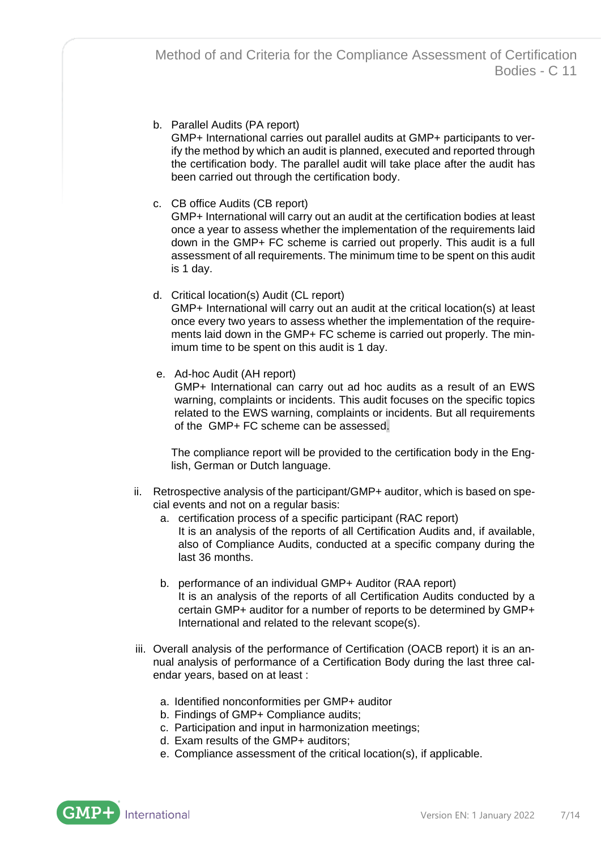b. Parallel Audits (PA report)

GMP+ International carries out parallel audits at GMP+ participants to verify the method by which an audit is planned, executed and reported through the certification body. The parallel audit will take place after the audit has been carried out through the certification body.

c. CB office Audits (CB report)

GMP+ International will carry out an audit at the certification bodies at least once a year to assess whether the implementation of the requirements laid down in the GMP+ FC scheme is carried out properly. This audit is a full assessment of all requirements. The minimum time to be spent on this audit is 1 day.

d. Critical location(s) Audit (CL report)

GMP+ International will carry out an audit at the critical location(s) at least once every two years to assess whether the implementation of the requirements laid down in the GMP+ FC scheme is carried out properly. The minimum time to be spent on this audit is 1 day.

e. Ad-hoc Audit (AH report)

GMP+ International can carry out ad hoc audits as a result of an EWS warning, complaints or incidents. This audit focuses on the specific topics related to the EWS warning, complaints or incidents. But all requirements of the GMP+ FC scheme can be assessed.

The compliance report will be provided to the certification body in the English, German or Dutch language.

- ii. Retrospective analysis of the participant/GMP+ auditor, which is based on special events and not on a regular basis:
	- a. certification process of a specific participant (RAC report) It is an analysis of the reports of all Certification Audits and, if available, also of Compliance Audits, conducted at a specific company during the last 36 months.
	- b. performance of an individual GMP+ Auditor (RAA report) It is an analysis of the reports of all Certification Audits conducted by a certain GMP+ auditor for a number of reports to be determined by GMP+ International and related to the relevant scope(s).
- iii. Overall analysis of the performance of Certification (OACB report) it is an annual analysis of performance of a Certification Body during the last three calendar years, based on at least :
	- a. Identified nonconformities per GMP+ auditor
	- b. Findings of GMP+ Compliance audits;
	- c. Participation and input in harmonization meetings;
	- d. Exam results of the GMP+ auditors;
	- e. Compliance assessment of the critical location(s), if applicable.

International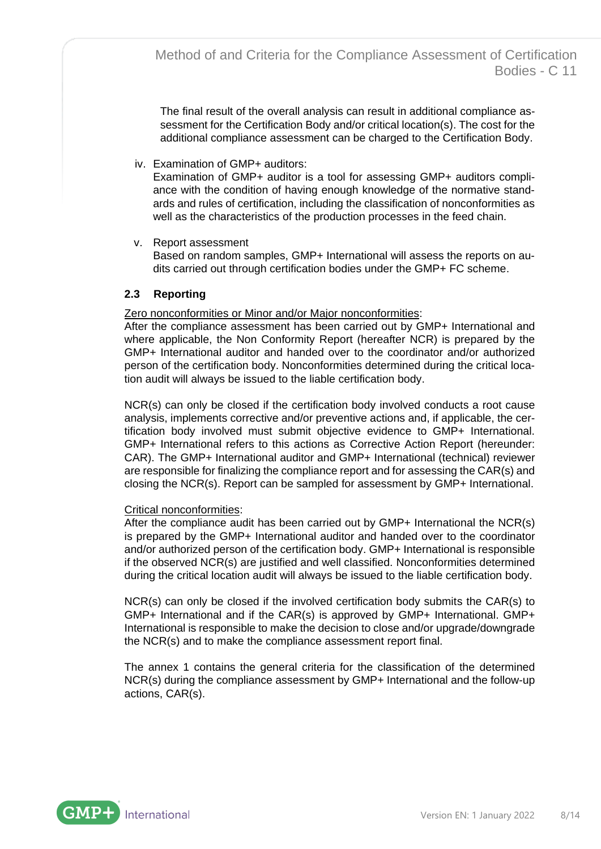The final result of the overall analysis can result in additional compliance assessment for the Certification Body and/or critical location(s). The cost for the additional compliance assessment can be charged to the Certification Body.

iv. Examination of GMP+ auditors:

Examination of GMP+ auditor is a tool for assessing GMP+ auditors compliance with the condition of having enough knowledge of the normative standards and rules of certification, including the classification of nonconformities as well as the characteristics of the production processes in the feed chain.

v. Report assessment

Based on random samples, GMP+ International will assess the reports on audits carried out through certification bodies under the GMP+ FC scheme.

### <span id="page-7-0"></span>**2.3 Reporting**

Zero nonconformities or Minor and/or Major nonconformities:

After the compliance assessment has been carried out by GMP+ International and where applicable, the Non Conformity Report (hereafter NCR) is prepared by the GMP+ International auditor and handed over to the coordinator and/or authorized person of the certification body. Nonconformities determined during the critical location audit will always be issued to the liable certification body.

NCR(s) can only be closed if the certification body involved conducts a root cause analysis, implements corrective and/or preventive actions and, if applicable, the certification body involved must submit objective evidence to GMP+ International. GMP+ International refers to this actions as Corrective Action Report (hereunder: CAR). The GMP+ International auditor and GMP+ International (technical) reviewer are responsible for finalizing the compliance report and for assessing the CAR(s) and closing the NCR(s). Report can be sampled for assessment by GMP+ International.

#### Critical nonconformities:

After the compliance audit has been carried out by GMP+ International the NCR(s) is prepared by the GMP+ International auditor and handed over to the coordinator and/or authorized person of the certification body. GMP+ International is responsible if the observed NCR(s) are justified and well classified. Nonconformities determined during the critical location audit will always be issued to the liable certification body.

NCR(s) can only be closed if the involved certification body submits the CAR(s) to GMP+ International and if the CAR(s) is approved by GMP+ International. GMP+ International is responsible to make the decision to close and/or upgrade/downgrade the NCR(s) and to make the compliance assessment report final.

The annex 1 contains the general criteria for the classification of the determined NCR(s) during the compliance assessment by GMP+ International and the follow-up actions, CAR(s).

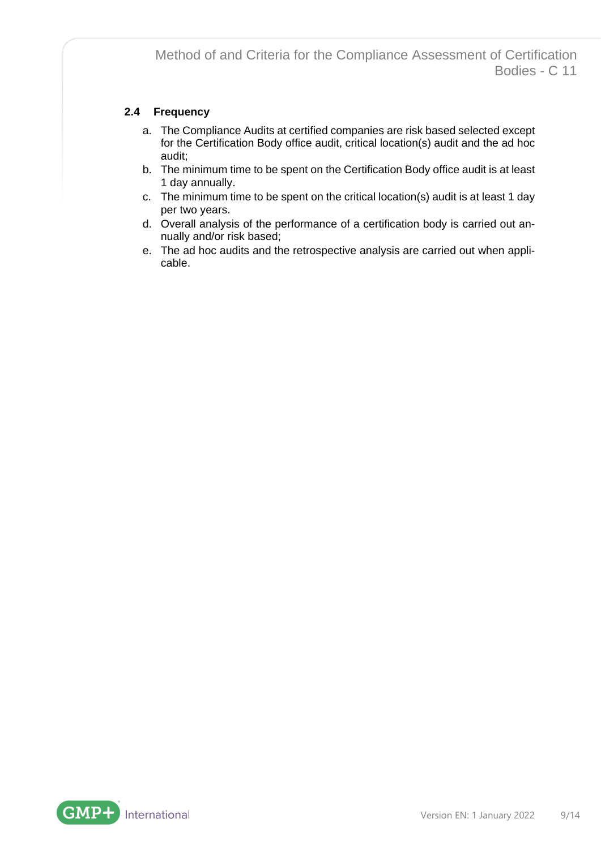## <span id="page-8-0"></span>**2.4 Frequency**

- a. The Compliance Audits at certified companies are risk based selected except for the Certification Body office audit, critical location(s) audit and the ad hoc audit;
- b. The minimum time to be spent on the Certification Body office audit is at least 1 day annually.
- c. The minimum time to be spent on the critical location(s) audit is at least 1 day per two years.
- d. Overall analysis of the performance of a certification body is carried out annually and/or risk based;
- e. The ad hoc audits and the retrospective analysis are carried out when applicable.

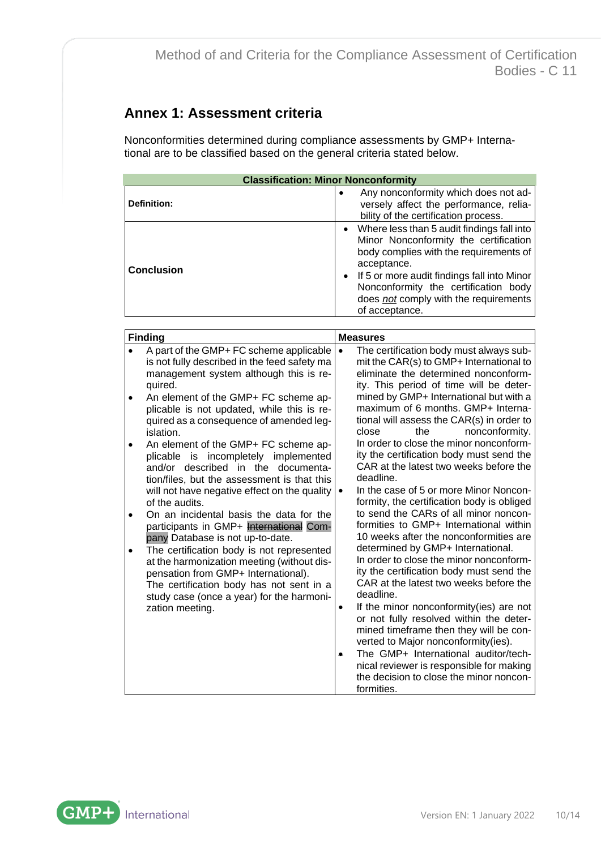# <span id="page-9-0"></span>**Annex 1: Assessment criteria**

Nonconformities determined during compliance assessments by GMP+ International are to be classified based on the general criteria stated below.

| <b>Classification: Minor Nonconformity</b> |                                                                                                                                                                                                                                                                                                    |  |
|--------------------------------------------|----------------------------------------------------------------------------------------------------------------------------------------------------------------------------------------------------------------------------------------------------------------------------------------------------|--|
| Definition:                                | Any nonconformity which does not ad-<br>$\bullet$<br>versely affect the performance, relia-<br>bility of the certification process.                                                                                                                                                                |  |
| <b>Conclusion</b>                          | • Where less than 5 audit findings fall into<br>Minor Nonconformity the certification<br>body complies with the requirements of<br>acceptance.<br>• If 5 or more audit findings fall into Minor<br>Nonconformity the certification body<br>does not comply with the requirements<br>of acceptance. |  |

| <b>Finding</b>                                                                                                                                                                                                                             | <b>Measures</b> |                                                                                                                                                                                                                                                                                                                                                                                                                                                                                                      |
|--------------------------------------------------------------------------------------------------------------------------------------------------------------------------------------------------------------------------------------------|-----------------|------------------------------------------------------------------------------------------------------------------------------------------------------------------------------------------------------------------------------------------------------------------------------------------------------------------------------------------------------------------------------------------------------------------------------------------------------------------------------------------------------|
| A part of the GMP+ FC scheme applicable<br>is not fully described in the feed safety ma<br>management system although this is re-<br>quired.                                                                                               | $\bullet$       | The certification body must always sub-<br>mit the CAR(s) to GMP+ International to<br>eliminate the determined nonconform-<br>ity. This period of time will be deter-                                                                                                                                                                                                                                                                                                                                |
| An element of the GMP+ FC scheme ap-<br>plicable is not updated, while this is re-<br>quired as a consequence of amended leg-<br>islation.                                                                                                 |                 | mined by GMP+ International but with a<br>maximum of 6 months. GMP+ Interna-<br>tional will assess the CAR(s) in order to<br>close<br>nonconformity.<br>the                                                                                                                                                                                                                                                                                                                                          |
| An element of the GMP+ FC scheme ap-<br>plicable is incompletely implemented<br>and/or described in the documenta-<br>tion/files, but the assessment is that this<br>will not have negative effect on the quality<br>of the audits.        |                 | In order to close the minor nonconform-<br>ity the certification body must send the<br>CAR at the latest two weeks before the<br>deadline.<br>In the case of 5 or more Minor Noncon-<br>formity, the certification body is obliged                                                                                                                                                                                                                                                                   |
| On an incidental basis the data for the<br>participants in GMP+ International Com-<br>pany Database is not up-to-date.                                                                                                                     |                 | to send the CARs of all minor noncon-<br>formities to GMP+ International within<br>10 weeks after the nonconformities are                                                                                                                                                                                                                                                                                                                                                                            |
| The certification body is not represented<br>at the harmonization meeting (without dis-<br>pensation from GMP+ International).<br>The certification body has not sent in a<br>study case (once a year) for the harmoni-<br>zation meeting. | $\bullet$       | determined by GMP+ International.<br>In order to close the minor nonconform-<br>ity the certification body must send the<br>CAR at the latest two weeks before the<br>deadline.<br>If the minor nonconformity (ies) are not<br>or not fully resolved within the deter-<br>mined timeframe then they will be con-<br>verted to Major nonconformity(ies).<br>The GMP+ International auditor/tech-<br>nical reviewer is responsible for making<br>the decision to close the minor noncon-<br>formities. |

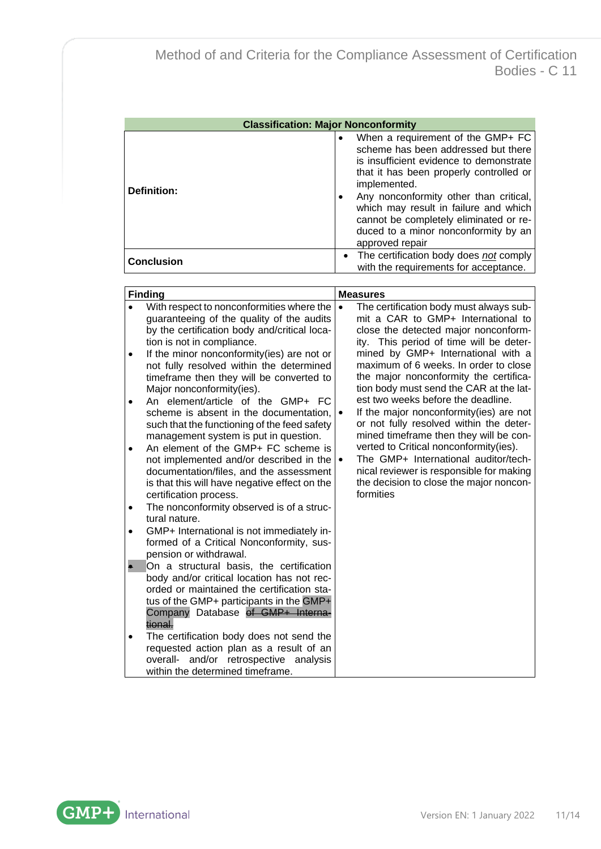| <b>Classification: Major Nonconformity</b> |                                                                                                                                                                                                                                                                                                                                                                        |  |
|--------------------------------------------|------------------------------------------------------------------------------------------------------------------------------------------------------------------------------------------------------------------------------------------------------------------------------------------------------------------------------------------------------------------------|--|
| <b>Definition:</b>                         | When a requirement of the GMP+ FC<br>scheme has been addressed but there<br>is insufficient evidence to demonstrate<br>that it has been properly controlled or<br>implemented.<br>Any nonconformity other than critical,<br>which may result in failure and which<br>cannot be completely eliminated or re-<br>duced to a minor nonconformity by an<br>approved repair |  |
| <b>Conclusion</b>                          | • The certification body does not comply<br>with the requirements for acceptance.                                                                                                                                                                                                                                                                                      |  |

| <b>Finding</b>                                                                                                                                                                                                                                                                                                                                                                                                                                                                                                                                                                                                                                                                                                                                                                                                                                                                                                                                                                                                                                                                                                                                                                                                                                                                                                       | <b>Measures</b>                                                                                                                                                                                                                                                                                                                                                                                                                                                                                                                                                                                                                                                                                                            |
|----------------------------------------------------------------------------------------------------------------------------------------------------------------------------------------------------------------------------------------------------------------------------------------------------------------------------------------------------------------------------------------------------------------------------------------------------------------------------------------------------------------------------------------------------------------------------------------------------------------------------------------------------------------------------------------------------------------------------------------------------------------------------------------------------------------------------------------------------------------------------------------------------------------------------------------------------------------------------------------------------------------------------------------------------------------------------------------------------------------------------------------------------------------------------------------------------------------------------------------------------------------------------------------------------------------------|----------------------------------------------------------------------------------------------------------------------------------------------------------------------------------------------------------------------------------------------------------------------------------------------------------------------------------------------------------------------------------------------------------------------------------------------------------------------------------------------------------------------------------------------------------------------------------------------------------------------------------------------------------------------------------------------------------------------------|
| With respect to nonconformities where the<br>guaranteeing of the quality of the audits<br>by the certification body and/critical loca-<br>tion is not in compliance.<br>If the minor nonconformity(ies) are not or<br>not fully resolved within the determined<br>timeframe then they will be converted to<br>Major nonconformity(ies).<br>An element/article of the GMP+ FC<br>scheme is absent in the documentation,<br>such that the functioning of the feed safety<br>management system is put in question.<br>An element of the GMP+ FC scheme is<br>not implemented and/or described in the<br>documentation/files, and the assessment<br>is that this will have negative effect on the<br>certification process.<br>The nonconformity observed is of a struc-<br>tural nature.<br>GMP+ International is not immediately in-<br>formed of a Critical Nonconformity, sus-<br>pension or withdrawal.<br>On a structural basis, the certification<br>body and/or critical location has not rec-<br>orded or maintained the certification sta-<br>tus of the GMP+ participants in the GMP+<br>Company Database of GMP+ Interna-<br>tional.<br>The certification body does not send the<br>requested action plan as a result of an<br>overall- and/or retrospective<br>analysis<br>within the determined timeframe. | The certification body must always sub-<br>$\bullet$<br>mit a CAR to GMP+ International to<br>close the detected major nonconform-<br>ity. This period of time will be deter-<br>mined by GMP+ International with a<br>maximum of 6 weeks. In order to close<br>the major nonconformity the certifica-<br>tion body must send the CAR at the lat-<br>est two weeks before the deadline.<br>If the major nonconformity(ies) are not<br>or not fully resolved within the deter-<br>mined timeframe then they will be con-<br>verted to Critical nonconformity(ies).<br>The GMP+ International auditor/tech-<br>$\bullet$<br>nical reviewer is responsible for making<br>the decision to close the major noncon-<br>formities |

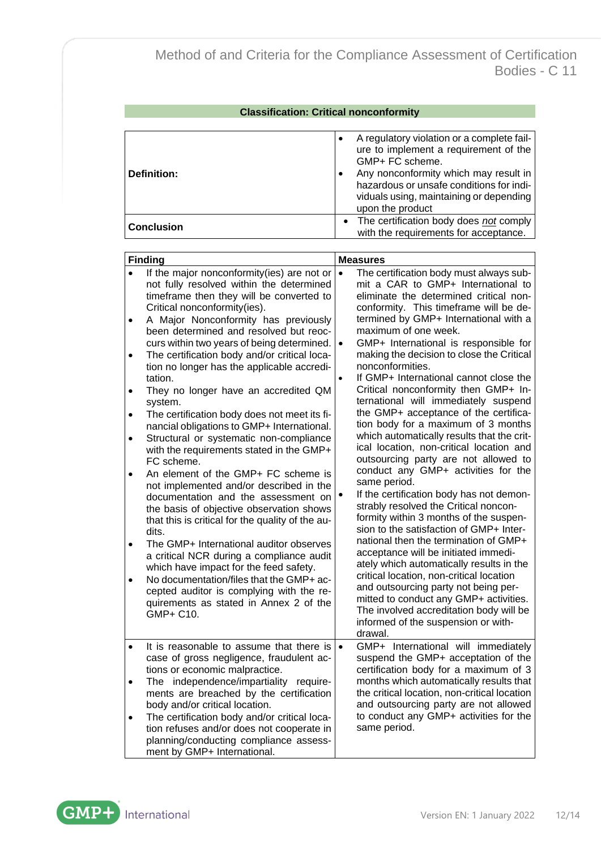| <b>Classification: Critical nonconformity</b> |                                                                                                                                                                                                                                                            |  |
|-----------------------------------------------|------------------------------------------------------------------------------------------------------------------------------------------------------------------------------------------------------------------------------------------------------------|--|
|                                               |                                                                                                                                                                                                                                                            |  |
| Definition:                                   | A regulatory violation or a complete fail-<br>ure to implement a requirement of the<br>GMP+ FC scheme.<br>Any nonconformity which may result in<br>hazardous or unsafe conditions for indi-<br>viduals using, maintaining or depending<br>upon the product |  |
| <b>Conclusion</b>                             | • The certification body does not comply<br>with the requirements for acceptance.                                                                                                                                                                          |  |

| <b>Finding</b>                                                                  |                                                                                                                                                                                                                                                                                                                                                                                                                                                                                                                                                                                                                                                                                                                                                                                                                                                                                                                                                                                                                                                                                                                                                                                     | <b>Measures</b>                     |                                                                                                                                                                                                                                                                                                                                                                                                                                                                                                                                                                                                                                                                                                                                                                                                                                                                                                                                                                                                                                                                                                                                                                                                                                                                                   |  |
|---------------------------------------------------------------------------------|-------------------------------------------------------------------------------------------------------------------------------------------------------------------------------------------------------------------------------------------------------------------------------------------------------------------------------------------------------------------------------------------------------------------------------------------------------------------------------------------------------------------------------------------------------------------------------------------------------------------------------------------------------------------------------------------------------------------------------------------------------------------------------------------------------------------------------------------------------------------------------------------------------------------------------------------------------------------------------------------------------------------------------------------------------------------------------------------------------------------------------------------------------------------------------------|-------------------------------------|-----------------------------------------------------------------------------------------------------------------------------------------------------------------------------------------------------------------------------------------------------------------------------------------------------------------------------------------------------------------------------------------------------------------------------------------------------------------------------------------------------------------------------------------------------------------------------------------------------------------------------------------------------------------------------------------------------------------------------------------------------------------------------------------------------------------------------------------------------------------------------------------------------------------------------------------------------------------------------------------------------------------------------------------------------------------------------------------------------------------------------------------------------------------------------------------------------------------------------------------------------------------------------------|--|
| $\bullet$<br>$\bullet$<br>$\bullet$<br>٠<br>$\bullet$<br>$\bullet$<br>$\bullet$ | If the major nonconformity(ies) are not or<br>not fully resolved within the determined<br>timeframe then they will be converted to<br>Critical nonconformity(ies).<br>A Major Nonconformity has previously<br>been determined and resolved but reoc-<br>curs within two years of being determined.<br>The certification body and/or critical loca-<br>tion no longer has the applicable accredi-<br>tation.<br>They no longer have an accredited QM<br>system.<br>The certification body does not meet its fi-<br>nancial obligations to GMP+ International.<br>Structural or systematic non-compliance<br>with the requirements stated in the GMP+<br>FC scheme.<br>An element of the GMP+ FC scheme is<br>not implemented and/or described in the<br>documentation and the assessment on<br>the basis of objective observation shows<br>that this is critical for the quality of the au-<br>dits.<br>The GMP+ International auditor observes<br>a critical NCR during a compliance audit<br>which have impact for the feed safety.<br>No documentation/files that the GMP+ ac-<br>cepted auditor is complying with the re-<br>quirements as stated in Annex 2 of the<br>GMP+ C10. | $\bullet$<br>$\bullet$<br>$\bullet$ | The certification body must always sub-<br>mit a CAR to GMP+ International to<br>eliminate the determined critical non-<br>conformity. This timeframe will be de-<br>termined by GMP+ International with a<br>maximum of one week.<br>GMP+ International is responsible for<br>making the decision to close the Critical<br>nonconformities.<br>If GMP+ International cannot close the<br>Critical nonconformity then GMP+ In-<br>ternational will immediately suspend<br>the GMP+ acceptance of the certifica-<br>tion body for a maximum of 3 months<br>which automatically results that the crit-<br>ical location, non-critical location and<br>outsourcing party are not allowed to<br>conduct any GMP+ activities for the<br>same period.<br>If the certification body has not demon-<br>strably resolved the Critical noncon-<br>formity within 3 months of the suspen-<br>sion to the satisfaction of GMP+ Inter-<br>national then the termination of GMP+<br>acceptance will be initiated immedi-<br>ately which automatically results in the<br>critical location, non-critical location<br>and outsourcing party not being per-<br>mitted to conduct any GMP+ activities.<br>The involved accreditation body will be<br>informed of the suspension or with-<br>drawal. |  |
| $\bullet$<br>$\bullet$                                                          | It is reasonable to assume that there is<br>case of gross negligence, fraudulent ac-<br>tions or economic malpractice.<br>The independence/impartiality require-<br>ments are breached by the certification<br>body and/or critical location.<br>The certification body and/or critical loca-<br>tion refuses and/or does not cooperate in<br>planning/conducting compliance assess-<br>ment by GMP+ International.                                                                                                                                                                                                                                                                                                                                                                                                                                                                                                                                                                                                                                                                                                                                                                 | $\bullet$                           | GMP+ International will immediately<br>suspend the GMP+ acceptation of the<br>certification body for a maximum of 3<br>months which automatically results that<br>the critical location, non-critical location<br>and outsourcing party are not allowed<br>to conduct any GMP+ activities for the<br>same period.                                                                                                                                                                                                                                                                                                                                                                                                                                                                                                                                                                                                                                                                                                                                                                                                                                                                                                                                                                 |  |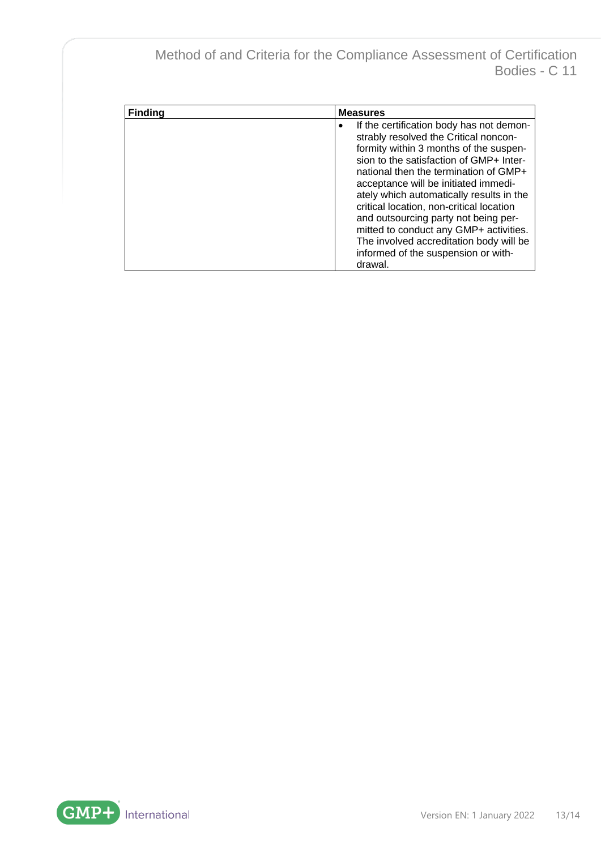| <b>Finding</b> | <b>Measures</b>                                                                                                                                                                                                                                                                                                                                                                                                                                                                                                                             |
|----------------|---------------------------------------------------------------------------------------------------------------------------------------------------------------------------------------------------------------------------------------------------------------------------------------------------------------------------------------------------------------------------------------------------------------------------------------------------------------------------------------------------------------------------------------------|
|                | If the certification body has not demon-<br>$\bullet$<br>strably resolved the Critical noncon-<br>formity within 3 months of the suspen-<br>sion to the satisfaction of GMP+ Inter-<br>national then the termination of GMP+<br>acceptance will be initiated immedi-<br>ately which automatically results in the<br>critical location, non-critical location<br>and outsourcing party not being per-<br>mitted to conduct any GMP+ activities.<br>The involved accreditation body will be<br>informed of the suspension or with-<br>drawal. |